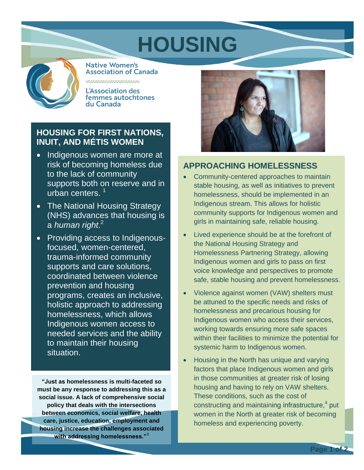# **HOUSING**



**Native Women's Association of Canada** 

**L'Association des** femmes autochtones du Canada

## **HRXORULUW1DWLRXXW DQG0pWLV:RPHQ**

- **x** Indigenous women are more at risk of becoming homeless due to the lack of community supports on reserve and in urban centrHs.<sup>1</sup>
- x The National Housing Strategy  $(NHS)$  r i crack that housing is a  $R$ DQ UW.  $^2$
- x Providing access to Indigenousfocused, women-centered, trauma-informed community supports and care solutions, coordinated between violence prevention and housing programs, creates an inclusive, holistic approach to addressing homelessness, which allows Indigenous women access to needed services and the ability to maintain their housing situation.

**"Just as homelessness is multi-faceted so must be any response to addressing this as a social issue. A lack of comprehensive social policy that deals with the intersections between economics, social welfare, health care, justice, education, employment and housing increase the challenges associated with addressing homelessness."**<sup>3</sup>



## **APPROACHING HOMELESSNESS**

- x Community-centered approaches to maintain stable housing, as well as initiatives to prevent homelessness, should be implemented in an Indigenous stream. This allows for holistic community supports for Indigenous women and girls in maintaining safe, reliable housing.
- x Lived experience should be at the forefront of the National Housing Strategy and Homelessness Partnering Strategy, allowing Indigenous women and girls to pass on first voice knowledge and perspectives to promote safe, stable housing and prevent homelessness.
- x Violence against women (VAW) shelters must be attuned to the specific needs and risks of homelessness and precarious housing for Indigenous women who access their services, working towards ensuring more safe spaces within their facilities to minimize the potential for systemic harm to Indigenous women.
- x Housing in the North has unique and varying factors that place Indigenous women and girls in those communities at greater risk of losing housing and having to rely on VAW shelters. These conditions, such as the cost of constructing and maintaining infrastructure,<sup>4</sup> put women in the North at greater risk of becoming homeless and experiencing poverty.